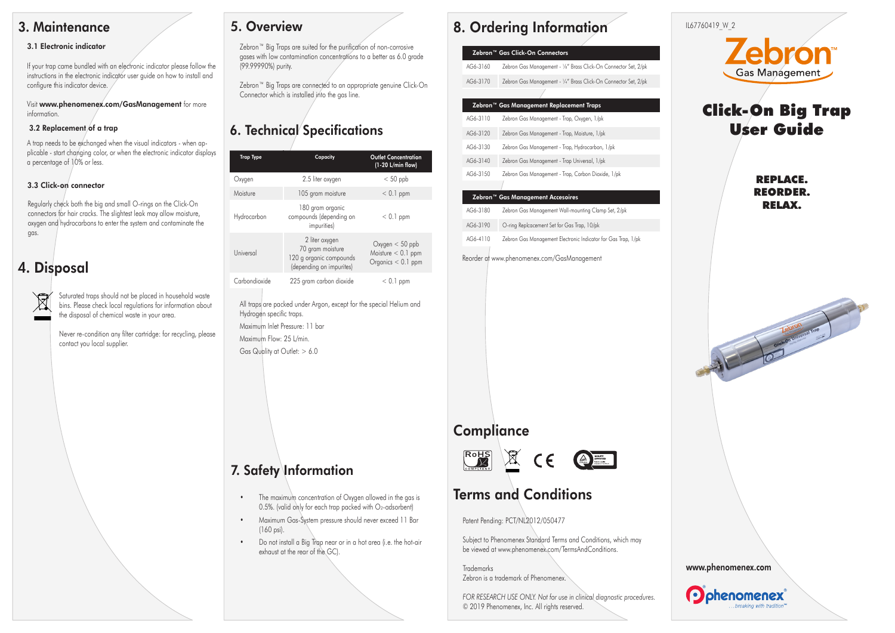## **3. Maintenance**

#### **3.1 Electronic indicator**

If your trap came bundled with an electronic indicator please follow the instructions in the electronic indicator user guide on how to install and configure this indicator device.

Visit **www.phenomenex.com/GasManagement** for more information.

#### **3.2 Replacement of a trap**

A trap needs to be exchanged when the visual indicators - when applicable - start changing color, or when the electronic indicator displays a percentage of 10% or less.

#### **3.3 Click-on connector**

Regularly check both the big and small O-rings on the Click-On connectors for hair cracks. The slightest leak may allow moisture, oxygen and hydrocarbons to enter the system and contaminate the gas.

## **4. Disposal**

Saturated traps should not be placed in household waste bins. Please check local regulations for information about the disposal of chemical waste in your area.

Never re-condition any filter cartridge: for recycling, please contact you local supplier.

## **5. Overview**

Zebron™ Big Traps are suited for the purification of non-corrosive gases with low contamination concentrations to a better as 6.0 grade (99.99990%) purity.

Zebron™ Big Traps are connected to an appropriate genuine Click-On Connector which is installed into the gas line.

## **6. Technical Specifications**

| <b>Trap Type</b> | Capacity                                                                                  | <b>Outlet Concentration</b><br>$(1-20 L/min flow)$                   |
|------------------|-------------------------------------------------------------------------------------------|----------------------------------------------------------------------|
| Oxygen           | 2.5 liter oxygen                                                                          | $< 50$ ppb                                                           |
| Moisture         | 105 gram moisture                                                                         | $< 0.1$ ppm                                                          |
| Hydrocarbon      | 180 gram organic<br>compounds (depending on<br><i>impurities</i> )                        | $< 0.1$ ppm                                                          |
| Universal        | 2 liter oxygen<br>70 gram moisture<br>120 g organic compounds<br>(depending on impurites) | $Ox$ ygen $< 50$ ppb<br>Moisture $< 0.1$ ppm<br>Organics $< 0.1$ ppm |
| Carbondioxide    | 225 gram carbon dioxide                                                                   | $< 0.1$ ppm                                                          |

All traps are packed under Argon, except for the special Helium and Hydrogen specific traps. Maximum Inlet Pressure: 11 bar Maximum Flow: 25 L/min. Gas Quality at Outlet: > 6.0

# **7. Safety Information**

- **•** The maximum concentration of Oxygen allowed in the gas is 0.5%. (valid only for each trap packed with O2-adsorbent)
- **•** Maximum Gas-System pressure should never exceed 11 Bar (160 psi).
- **•** Do not install a Big Trap near or in a hot area (i.e. the hot-air exhaust at the rear of the GC).

## **8. Ordering Information**

| Zebron™ Gas Click-On Connectors          |                                                                 |  |
|------------------------------------------|-----------------------------------------------------------------|--|
| AG6-3160                                 | Zebron Gas Management - 1/8" Brass Click-On Connector Set, 2/pk |  |
| AG6-3170                                 | Zebron Gas Management - 1/4" Brass Click-On Connector Set, 2/pk |  |
|                                          |                                                                 |  |
| Zebron™ Gas Management Replacement Traps |                                                                 |  |
| AG6-3110                                 | Zebron Gas Management - Trap, Oxygen, 1/pk                      |  |
| AG6-3120                                 | Zebron Gas Management - Trap, Moisture, 1/pk                    |  |
| AG6-3130                                 | Zebron Gas Management - Trap, Hydrocarbon, 1/pk                 |  |



### **Zebron™ Gas Management Accesoires** AG6-3180 Zebron Gas Management Wall-mounting Clamp Set, 2/pk AG6-3190 O-ring Replcacement Set for Gas Trap, 10/pk

AG6-4110 Zebron Gas Management Electronic Indicator for Gas Trap, 1/pk

Reorder at www.phenomenex.com/GasManagement

## **Compliance**



## **Terms and Conditions**

Patent Pending: PCT/NL2012/050477

Subject to Phenomenex Standard Terms and Conditions, which may be viewed at www.phenomenex.com/TermsAndConditions.

Trademarks Zebron is a trademark of Phenomenex.

*FOR RESEARCH USE ONLY. Not for use in clinical diagnostic procedures.* © 2019 Phenomenex, Inc. All rights reserved.





# Click-On Big Trap User Guide

REPLACE. REORDER. RELAX.